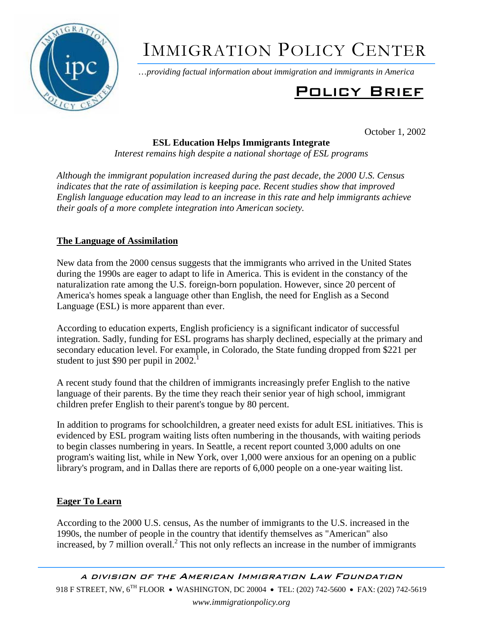

# IMMIGRATION POLICY CENTER

…*providing factual information about immigration and immigrants in America*

## Policy Brief

October 1, 2002

### **ESL Education Helps Immigrants Integrate**

*Interest remains high despite a national shortage of ESL programs*

*Although the immigrant population increased during the past decade, the 2000 U.S. Census indicates that the rate of assimilation is keeping pace. Recent studies show that improved English language education may lead to an increase in this rate and help immigrants achieve their goals of a more complete integration into American society.* 

#### **The Language of Assimilation**

New data from the 2000 census suggests that the immigrants who arrived in the United States during the 1990s are eager to adapt to life in America. This is evident in the constancy of the naturalization rate among the U.S. foreign-born population. However, since 20 percent of America's homes speak a language other than English, the need for English as a Second Language (ESL) is more apparent than ever.

According to education experts, English proficiency is a significant indicator of successful integration. Sadly, funding for ESL programs has sharply declined, especially at the primary and secondary education level. For example, in Colorado, the State funding dropped from \$221 per student to just \$90 per pupil in  $2002$ .

A recent study found that the children of immigrants increasingly prefer English to the native language of their parents. By the time they reach their senior year of high school, immigrant children prefer English to their parent's tongue by 80 percent.

In addition to programs for schoolchildren, a greater need exists for adult ESL initiatives. This is evidenced by ESL program waiting lists often numbering in the thousands, with waiting periods to begin classes numbering in years. In Seattle, a recent report counted 3,000 adults on one program's waiting list, while in New York, over 1,000 were anxious for an opening on a public library's program, and in Dallas there are reports of 6,000 people on a one-year waiting list.

#### **Eager To Learn**

According to the 2000 U.S. census, As the number of immigrants to the U.S. increased in the 1990s, the number of people in the country that identify themselves as "American" also increased, by  $7$  million overall.<sup>2</sup> This not only reflects an increase in the number of immigrants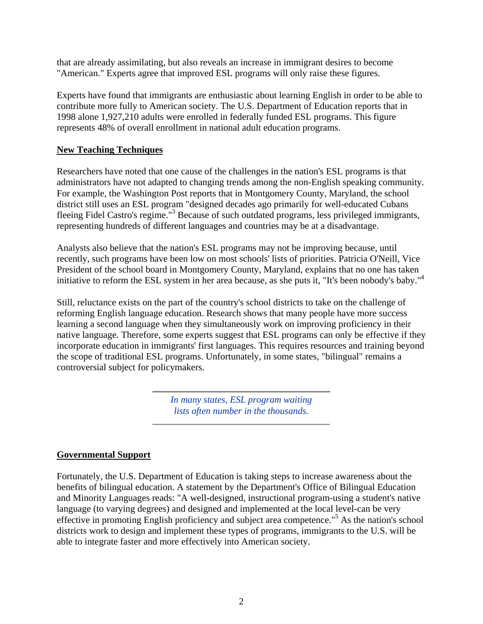that are already assimilating, but also reveals an increase in immigrant desires to become "American." Experts agree that improved ESL programs will only raise these figures.

Experts have found that immigrants are enthusiastic about learning English in order to be able to contribute more fully to American society. The U.S. Department of Education reports that in 1998 alone 1,927,210 adults were enrolled in federally funded ESL programs. This figure represents 48% of overall enrollment in national adult education programs.

#### **New Teaching Techniques**

Researchers have noted that one cause of the challenges in the nation's ESL programs is that administrators have not adapted to changing trends among the non-English speaking community. For example, the Washington Post reports that in Montgomery County, Maryland, the school district still uses an ESL program "designed decades ago primarily for well-educated Cubans fleeing Fidel Castro's regime."<sup>3</sup> Because of such outdated programs, less privileged immigrants, representing hundreds of different languages and countries may be at a disadvantage.

Analysts also believe that the nation's ESL programs may not be improving because, until recently, such programs have been low on most schools' lists of priorities. Patricia O'Neill, Vice President of the school board in Montgomery County, Maryland, explains that no one has taken initiative to reform the ESL system in her area because, as she puts it, "It's been nobody's baby."<sup>4</sup>

Still, reluctance exists on the part of the country's school districts to take on the challenge of reforming English language education. Research shows that many people have more success learning a second language when they simultaneously work on improving proficiency in their native language. Therefore, some experts suggest that ESL programs can only be effective if they incorporate education in immigrants' first languages. This requires resources and training beyond the scope of traditional ESL programs. Unfortunately, in some states, "bilingual" remains a controversial subject for policymakers.

> *In many states, ESL program waiting lists often number in the thousands.*

#### **Governmental Support**

Fortunately, the U.S. Department of Education is taking steps to increase awareness about the benefits of bilingual education. A statement by the Department's Office of Bilingual Education and Minority Languages reads: "A well-designed, instructional program-using a student's native language (to varying degrees) and designed and implemented at the local level-can be very effective in promoting English proficiency and subject area competence."<sup>5</sup> As the nation's school districts work to design and implement these types of programs, immigrants to the U.S. will be able to integrate faster and more effectively into American society.